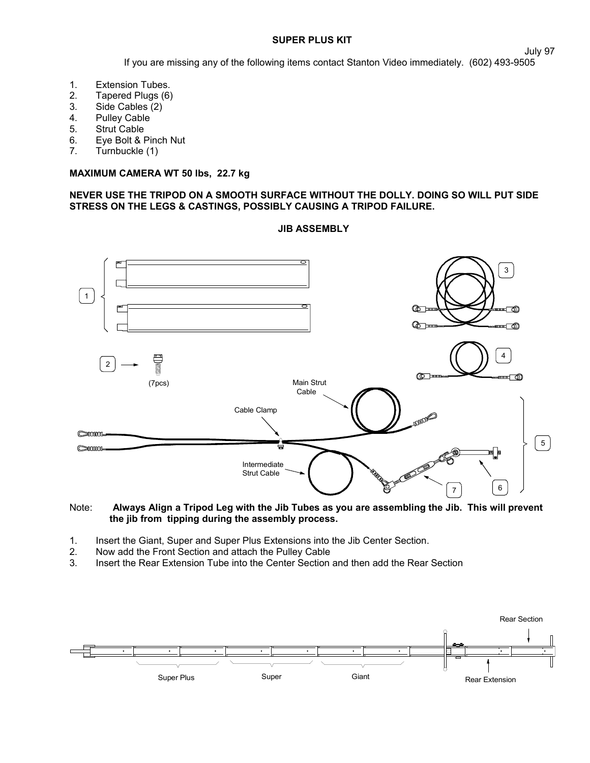## **SUPER PLUS KIT**

If you are missing any of the following items contact Stanton Video immediately. (602) 493-9505

- 1. Extension Tubes.<br>2. Tapered Plugs (6)
- 2. Tapered Plugs (6)
- 3. Side Cables (2)
- 4. Pulley Cable
- 5. Strut Cable
- 6. Eye Bolt & Pinch Nut
- 7. Turnbuckle (1)

## **MAXIMUM CAMERA WT 50 lbs, 22.7 kg**

# **NEVER USE THE TRIPOD ON A SMOOTH SURFACE WITHOUT THE DOLLY. DOING SO WILL PUT SIDE STRESS ON THE LEGS & CASTINGS, POSSIBLY CAUSING A TRIPOD FAILURE.**



#### Note: **Always Align a Tripod Leg with the Jib Tubes as you are assembling the Jib. This will prevent the jib from tipping during the assembly process.**

- 1. Insert the Giant, Super and Super Plus Extensions into the Jib Center Section.
- 2. Now add the Front Section and attach the Pulley Cable
- 3. Insert the Rear Extension Tube into the Center Section and then add the Rear Section



**JIB ASSEMBLY**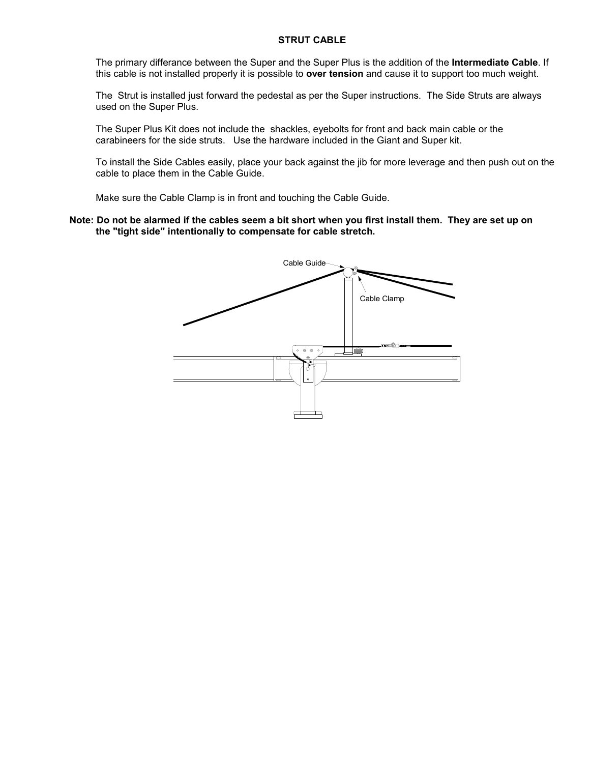#### **STRUT CABLE**

The primary differance between the Super and the Super Plus is the addition of the **Intermediate Cable**. If this cable is not installed properly it is possible to **over tension** and cause it to support too much weight.

The Strut is installed just forward the pedestal as per the Super instructions. The Side Struts are always used on the Super Plus.

The Super Plus Kit does not include the shackles, eyebolts for front and back main cable or the carabineers for the side struts. Use the hardware included in the Giant and Super kit.

To install the Side Cables easily, place your back against the jib for more leverage and then push out on the cable to place them in the Cable Guide.

Make sure the Cable Clamp is in front and touching the Cable Guide.

### **Note: Do not be alarmed if the cables seem a bit short when you first install them. They are set up on the "tight side" intentionally to compensate for cable stretch.**